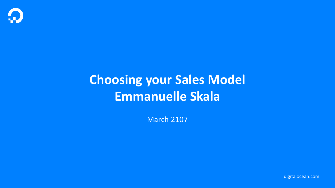

# **Choosing your Sales Model Emmanuelle Skala**

March 2107

digitalocean.com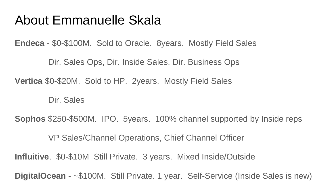#### About Emmanuelle Skala

**Endeca** - \$0-\$100M. Sold to Oracle. 8years. Mostly Field Sales

Dir. Sales Ops, Dir. Inside Sales, Dir. Business Ops

**Vertica** \$0-\$20M. Sold to HP. 2years. Mostly Field Sales

Dir. Sales

**Sophos** \$250-\$500M. IPO. 5years. 100% channel supported by Inside reps

VP Sales/Channel Operations, Chief Channel Officer

**Influitive**. \$0-\$10M Still Private. 3 years. Mixed Inside/Outside

**DigitalOcean** - ~\$100M. Still Private. 1 year. Self-Service (Inside Sales is new)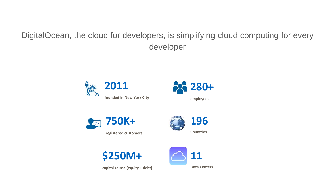DigitalOcean, the cloud for developers, is simplifying cloud computing for every developer











**capital raised (equity + debt)**

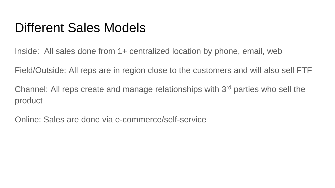#### Different Sales Models

Inside: All sales done from 1+ centralized location by phone, email, web

Field/Outside: All reps are in region close to the customers and will also sell FTF

Channel: All reps create and manage relationships with 3rd parties who sell the product

Online: Sales are done via e-commerce/self-service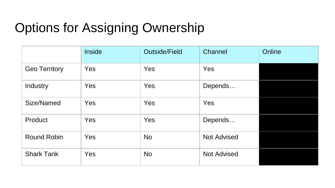## Options for Assigning Ownership

|                      | <b>Inside</b> | <b>Outside/Field</b> | Channel            | Online |
|----------------------|---------------|----------------------|--------------------|--------|
| <b>Geo Territory</b> | <b>Yes</b>    | Yes                  | Yes                |        |
| Industry             | Yes           | Yes                  | Depends            |        |
| Size/Named           | Yes           | Yes                  | Yes                |        |
| Product              | Yes           | Yes                  | Depends            |        |
| <b>Round Robin</b>   | Yes           | <b>No</b>            | <b>Not Advised</b> |        |
| <b>Shark Tank</b>    | Yes           | <b>No</b>            | <b>Not Advised</b> |        |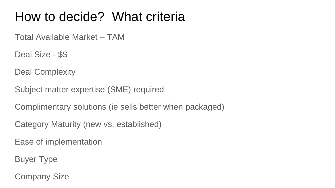### How to decide? What criteria

Total Available Market – TAM

Deal Size - \$\$

Deal Complexity

Subject matter expertise (SME) required

Complimentary solutions (ie sells better when packaged)

Category Maturity (new vs. established)

Ease of implementation

Buyer Type

Company Size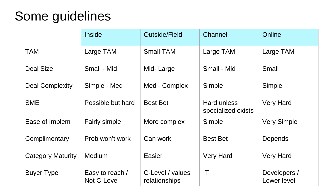## Some guidelines

|                          | Inside                         | Outside/Field                     | Channel                                  | Online                      |
|--------------------------|--------------------------------|-----------------------------------|------------------------------------------|-----------------------------|
| <b>TAM</b>               | Large TAM                      | <b>Small TAM</b>                  | Large TAM                                | Large TAM                   |
| Deal Size                | Small - Mid                    | Mid-Large                         | Small - Mid                              | Small                       |
| Deal Complexity          | Simple - Med                   | Med - Complex                     | Simple                                   | Simple                      |
| <b>SME</b>               | Possible but hard              | <b>Best Bet</b>                   | <b>Hard unless</b><br>specialized exists | <b>Very Hard</b>            |
| Ease of Implem           | <b>Fairly simple</b>           | More complex                      | Simple                                   | <b>Very Simple</b>          |
| Complimentary            | Prob won't work                | Can work                          | <b>Best Bet</b>                          | Depends                     |
| <b>Category Maturity</b> | Medium                         | Easier                            | <b>Very Hard</b>                         | <b>Very Hard</b>            |
| <b>Buyer Type</b>        | Easy to reach /<br>Not C-Level | C-Level / values<br>relationships | IT                                       | Developers /<br>Lower level |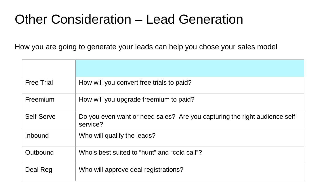## Other Consideration – Lead Generation

How you are going to generate your leads can help you chose your sales model

| <b>Free Trial</b> | How will you convert free trials to paid?                                              |
|-------------------|----------------------------------------------------------------------------------------|
| Freemium          | How will you upgrade freemium to paid?                                                 |
| Self-Serve        | Do you even want or need sales? Are you capturing the right audience self-<br>service? |
| Inbound           | Who will qualify the leads?                                                            |
| Outbound          | Who's best suited to "hunt" and "cold call"?                                           |
| Deal Reg          | Who will approve deal registrations?                                                   |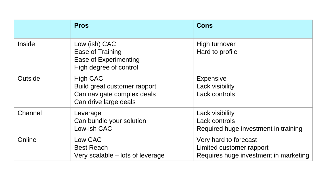|         | <b>Pros</b>                                                                                            | <b>Cons</b>                                                                                |
|---------|--------------------------------------------------------------------------------------------------------|--------------------------------------------------------------------------------------------|
| Inside  | Low (ish) CAC<br>Ease of Training<br>Ease of Experimenting<br>High degree of control                   | High turnover<br>Hard to profile                                                           |
| Outside | <b>High CAC</b><br>Build great customer rapport<br>Can navigate complex deals<br>Can drive large deals | <b>Expensive</b><br>Lack visibility<br>Lack controls                                       |
| Channel | Leverage<br>Can bundle your solution<br>Low-ish CAC                                                    | Lack visibility<br>Lack controls<br>Required huge investment in training                   |
| Online  | Low CAC<br><b>Best Reach</b><br>Very scalable – lots of leverage                                       | Very hard to forecast<br>Limited customer rapport<br>Requires huge investment in marketing |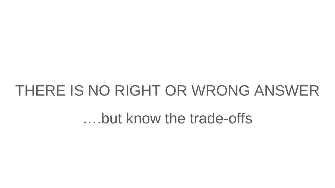# THERE IS NO RIGHT OR WRONG ANSWER

….but know the trade-offs